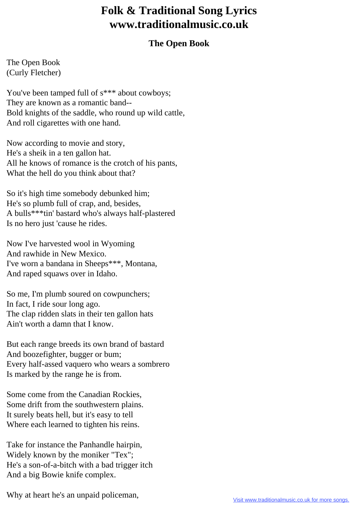## **Folk & Traditional Song Lyrics www.traditionalmusic.co.uk**

## **The Open Book**

The Open Book (Curly Fletcher)

You've been tamped full of  $s***$  about cowboys; They are known as a romantic band-- Bold knights of the saddle, who round up wild cattle, And roll cigarettes with one hand.

Now according to movie and story, He's a sheik in a ten gallon hat. All he knows of romance is the crotch of his pants, What the hell do you think about that?

So it's high time somebody debunked him; He's so plumb full of crap, and, besides, A bulls\*\*\*tin' bastard who's always half-plastered Is no hero just 'cause he rides.

Now I've harvested wool in Wyoming And rawhide in New Mexico. I've worn a bandana in Sheeps\*\*\*, Montana, And raped squaws over in Idaho.

So me, I'm plumb soured on cowpunchers; In fact, I ride sour long ago. The clap ridden slats in their ten gallon hats Ain't worth a damn that I know.

But each range breeds its own brand of bastard And boozefighter, bugger or bum; Every half-assed vaquero who wears a sombrero Is marked by the range he is from.

Some come from the Canadian Rockies, Some drift from the southwestern plains. It surely beats hell, but it's easy to tell Where each learned to tighten his reins.

Take for instance the Panhandle hairpin, Widely known by the moniker "Tex"; He's a son-of-a-bitch with a bad trigger itch And a big Bowie knife complex.

Why at heart he's an unpaid policeman,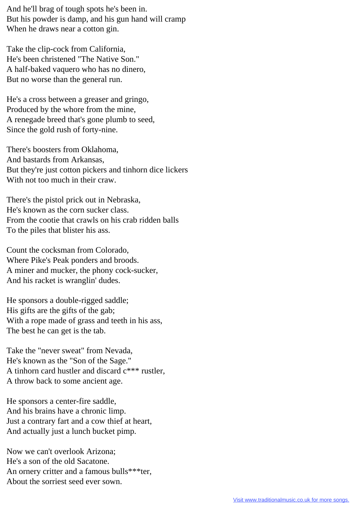And he'll brag of tough spots he's been in. But his powder is damp, and his gun hand will cramp When he draws near a cotton gin.

Take the clip-cock from California, He's been christened "The Native Son." A half-baked vaquero who has no dinero, But no worse than the general run.

He's a cross between a greaser and gringo, Produced by the whore from the mine, A renegade breed that's gone plumb to seed, Since the gold rush of forty-nine.

There's boosters from Oklahoma, And bastards from Arkansas, But they're just cotton pickers and tinhorn dice lickers With not too much in their craw.

There's the pistol prick out in Nebraska, He's known as the corn sucker class. From the cootie that crawls on his crab ridden balls To the piles that blister his ass.

Count the cocksman from Colorado, Where Pike's Peak ponders and broods. A miner and mucker, the phony cock-sucker, And his racket is wranglin' dudes.

He sponsors a double-rigged saddle; His gifts are the gifts of the gab; With a rope made of grass and teeth in his ass, The best he can get is the tab.

Take the "never sweat" from Nevada, He's known as the "Son of the Sage." A tinhorn card hustler and discard c\*\*\* rustler, A throw back to some ancient age.

He sponsors a center-fire saddle, And his brains have a chronic limp. Just a contrary fart and a cow thief at heart, And actually just a lunch bucket pimp.

Now we can't overlook Arizona; He's a son of the old Sacatone. An ornery critter and a famous bulls\*\*\*ter, About the sorriest seed ever sown.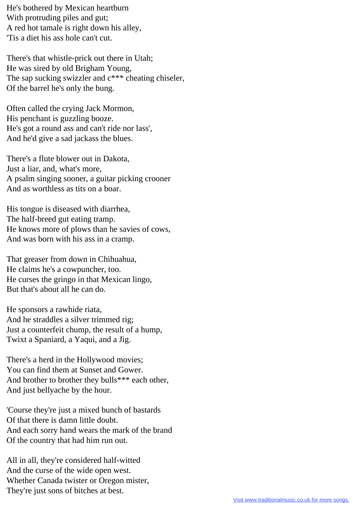He's bothered by Mexican heartburn With protruding piles and gut; A red hot tamale is right down his alley, 'Tis a diet his ass hole can't cut.

There's that whistle-prick out there in Utah; He was sired by old Brigham Young, The sap sucking swizzler and  $c^{***}$  cheating chiseler, Of the barrel he's only the bung.

Often called the crying Jack Mormon, His penchant is guzzling booze. He's got a round ass and can't ride nor lass', And he'd give a sad jackass the blues.

There's a flute blower out in Dakota, Just a liar, and, what's more, A psalm singing sooner, a guitar picking crooner And as worthless as tits on a boar.

His tongue is diseased with diarrhea, The half-breed gut eating tramp. He knows more of plows than he savies of cows, And was born with his ass in a cramp.

That greaser from down in Chihuahua, He claims he's a cowpuncher, too. He curses the gringo in that Mexican lingo, But that's about all he can do.

He sponsors a rawhide riata, And he straddles a silver trimmed rig; Just a counterfeit chump, the result of a hump, Twixt a Spaniard, a Yaqui, and a Jig.

There's a herd in the Hollywood movies; You can find them at Sunset and Gower. And brother to brother they bulls\*\*\* each other, And just bellyache by the hour.

'Course they're just a mixed bunch of bastards Of that there is damn little doubt. And each sorry hand wears the mark of the brand Of the country that had him run out.

All in all, they're considered half-witted And the curse of the wide open west. Whether Canada twister or Oregon mister, They're just sons of bitches at best.